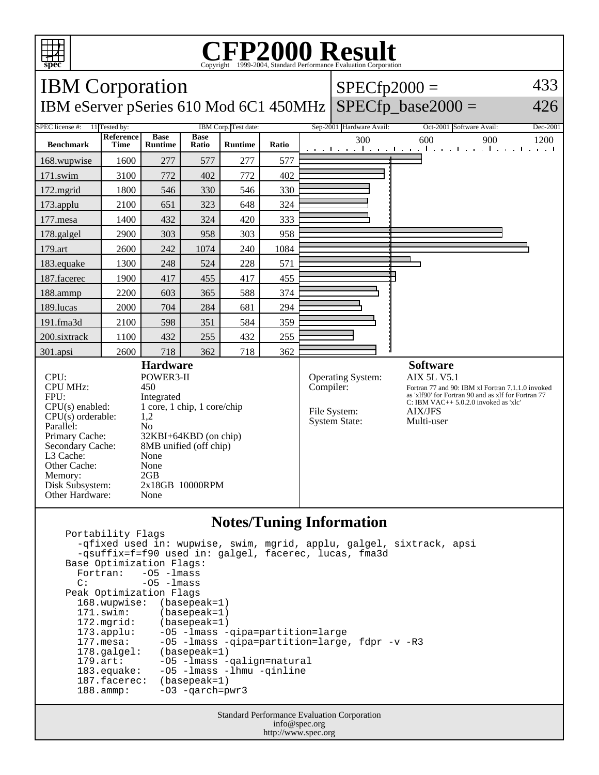

## Copyright ©1999-2004, Standard Performance Evaluation Corporation

| <b>IBM</b> Corporation                                                                                                                                                                                       |                          |                                                                                                                                                                                                                |                      |                |       |           | 433<br>$SPECfp2000 =$                                     |                                                                                                                                                                                                                              |          |
|--------------------------------------------------------------------------------------------------------------------------------------------------------------------------------------------------------------|--------------------------|----------------------------------------------------------------------------------------------------------------------------------------------------------------------------------------------------------------|----------------------|----------------|-------|-----------|-----------------------------------------------------------|------------------------------------------------------------------------------------------------------------------------------------------------------------------------------------------------------------------------------|----------|
| $SPECfp\_base2000 =$<br>IBM eServer pSeries 610 Mod 6C1 450MHz<br>426                                                                                                                                        |                          |                                                                                                                                                                                                                |                      |                |       |           |                                                           |                                                                                                                                                                                                                              |          |
| SPEC license #:<br>11 Tested by:<br>IBM Corp. Test date:                                                                                                                                                     |                          |                                                                                                                                                                                                                |                      |                |       |           | Sep-2001 Hardware Avail:                                  | Oct-2001 Software Avail:                                                                                                                                                                                                     | Dec-2001 |
| <b>Benchmark</b>                                                                                                                                                                                             | Reference<br><b>Time</b> | <b>Base</b><br><b>Runtime</b>                                                                                                                                                                                  | <b>Base</b><br>Ratio | <b>Runtime</b> | Ratio |           | 300                                                       | 600<br>900<br>الكويا بوكأ كويا بوخا كويا بالمواجب الموجا بوجا                                                                                                                                                                | 1200     |
| 168.wupwise                                                                                                                                                                                                  | 1600                     | 277                                                                                                                                                                                                            | 577                  | 277            | 577   |           |                                                           |                                                                                                                                                                                                                              |          |
| 171.swim                                                                                                                                                                                                     | 3100                     | 772                                                                                                                                                                                                            | 402                  | 772            | 402   |           |                                                           |                                                                                                                                                                                                                              |          |
| 172.mgrid                                                                                                                                                                                                    | 1800                     | 546                                                                                                                                                                                                            | 330                  | 546            | 330   |           |                                                           |                                                                                                                                                                                                                              |          |
| 173.applu                                                                                                                                                                                                    | 2100                     | 651                                                                                                                                                                                                            | 323                  | 648            | 324   |           |                                                           |                                                                                                                                                                                                                              |          |
| 177.mesa                                                                                                                                                                                                     | 1400                     | 432                                                                                                                                                                                                            | 324                  | 420            | 333   |           |                                                           |                                                                                                                                                                                                                              |          |
| 178.galgel                                                                                                                                                                                                   | 2900                     | 303                                                                                                                                                                                                            | 958                  | 303            | 958   |           |                                                           |                                                                                                                                                                                                                              |          |
| 179.art                                                                                                                                                                                                      | 2600                     | 242                                                                                                                                                                                                            | 1074                 | 240            | 1084  |           |                                                           |                                                                                                                                                                                                                              |          |
| 183.equake                                                                                                                                                                                                   | 1300                     | 248                                                                                                                                                                                                            | 524                  | 228            | 571   |           |                                                           |                                                                                                                                                                                                                              |          |
| 187.facerec                                                                                                                                                                                                  | 1900                     | 417                                                                                                                                                                                                            | 455                  | 417            | 455   |           |                                                           |                                                                                                                                                                                                                              |          |
| 188.ammp                                                                                                                                                                                                     | 2200                     | 603                                                                                                                                                                                                            | 365                  | 588            | 374   |           |                                                           |                                                                                                                                                                                                                              |          |
| 189.lucas                                                                                                                                                                                                    | 2000                     | 704                                                                                                                                                                                                            | 284                  | 681            | 294   |           |                                                           |                                                                                                                                                                                                                              |          |
| 191.fma3d                                                                                                                                                                                                    | 2100                     | 598                                                                                                                                                                                                            | 351                  | 584            | 359   |           |                                                           |                                                                                                                                                                                                                              |          |
| 200.sixtrack                                                                                                                                                                                                 | 1100                     | 432                                                                                                                                                                                                            | 255                  | 432            | 255   |           |                                                           |                                                                                                                                                                                                                              |          |
| 301.apsi                                                                                                                                                                                                     | 2600                     | 718                                                                                                                                                                                                            | 362                  | 718            | 362   |           |                                                           |                                                                                                                                                                                                                              |          |
| CPU:<br><b>CPU MHz:</b><br>FPU:<br>$CPU(s)$ enabled:<br>$CPU(s)$ orderable:<br>Parallel:<br>Primary Cache:<br>Secondary Cache:<br>L3 Cache:<br>Other Cache:<br>Memory:<br>Disk Subsystem:<br>Other Hardware: |                          | <b>Hardware</b><br>POWER3-II<br>450<br>Integrated<br>1 core, 1 chip, 1 core/chip<br>1,2<br>N <sub>0</sub><br>32KBI+64KBD (on chip)<br>8MB unified (off chip)<br>None<br>None<br>2GB<br>2x18GB 10000RPM<br>None |                      |                |       | Compiler: | Operating System:<br>File System:<br><b>System State:</b> | <b>Software</b><br><b>AIX 5L V5.1</b><br>Fortran 77 and 90: IBM xl Fortran 7.1.1.0 invoked<br>as 'xlf90' for Fortran 90 and as xlf for Fortran 77<br>C: IBM VAC++ $5.0.2.0$ invoked as 'xlc'<br><b>AIX/JFS</b><br>Multi-user |          |
| <b>Notes/Tuning Information</b><br>Portability Flags<br>$\sim$ $\sim$ $\sim$                                                                                                                                 |                          |                                                                                                                                                                                                                |                      |                |       |           |                                                           |                                                                                                                                                                                                                              |          |

```
 -qfixed used in: wupwise, swim, mgrid, applu, galgel, sixtrack, apsi
    -qsuffix=f=f90 used in: galgel, facerec, lucas, fma3d
Base Optimization Flags:<br>Fortran: -05 -lmass
 Fortran: -O5 -lmass
C: -05 -1mass
 Peak Optimization Flags
   168.wupwise: (basepeak=1)<br>171.swim: (basepeak=1)
                    (basepeak=1)
   172.mgrid: (basepeak=1)<br>173.applu: -05 -lmass -
                    -O5 -lmass -qipa=partition=large
   177.mesa: -O5 -lmass -qipa=partition=large, fdpr -v -R3<br>178.galgel: (basepeak=1)
   178.galgel: (basepeak=1)<br>179.art: -05 -lmass -
 179.art: -O5 -lmass -qalign=natural
 183.equake: -O5 -lmass -lhmu -qinline
   187.facerec: (basepeak=1)<br>188.ammp: -03 -qarch=p
                     -O3 -qarch=pwr3
```
Standard Performance Evaluation Corporation info@spec.org http://www.spec.org